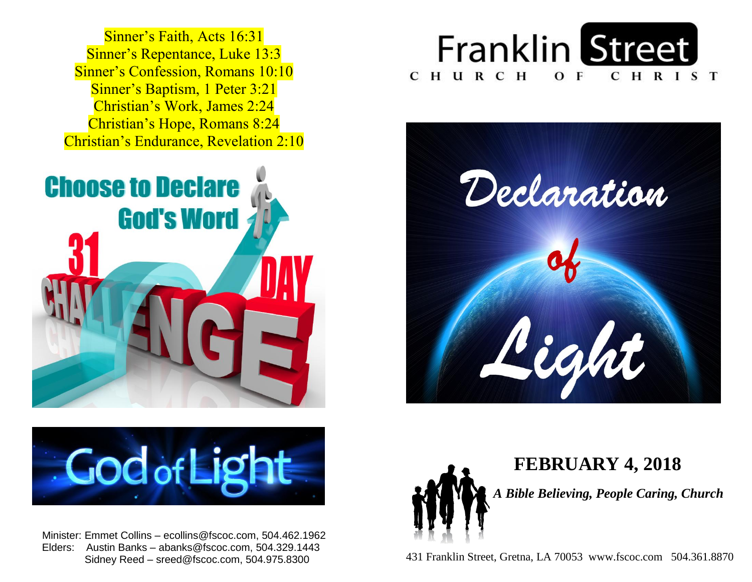Sinner's Repentance, Luke 13:3 **Sinner's Confession, Romans 10:10 Sinner's Baptism, 1 Peter 3:21**  Christian's Work, James 2:24  Christian's Hope, Romans 8:24  Christian's Endurance, Revelation 2:10 Sinner's Faith, Acts 16:31





 Minister: Emmet Collins – ecollins@fscoc.com, 504.462.1962  Elders: Austin Banks – abanks@fscoc.com, 504.329.1443 Sidney Reed – sreed@fscoc.com, 504.975.8300







  **FEBRUARY 4, 2018**  *A Bible Believing, People Caring, Church*

 431 Franklin Street, Gretna, LA 70053 www.fscoc.com 504.361.8870